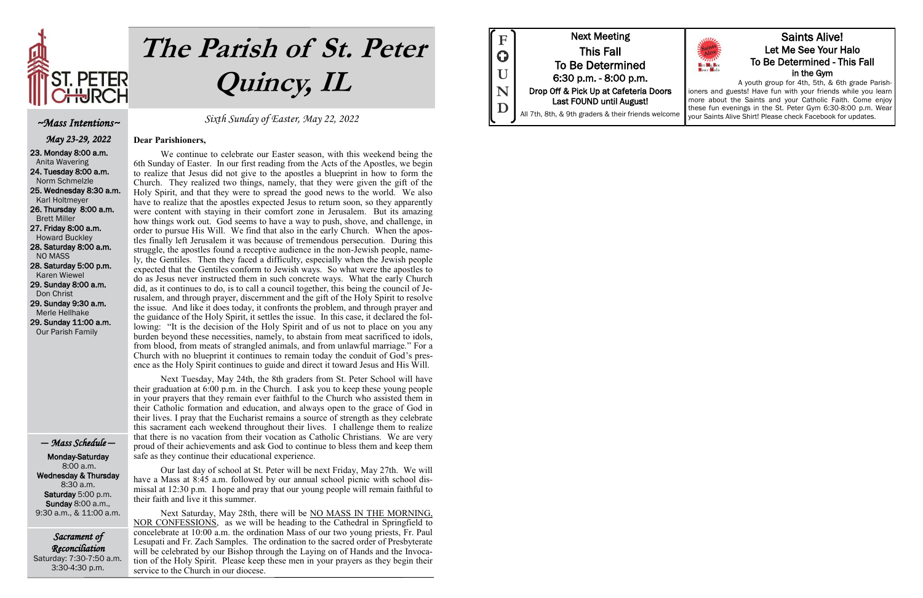

# **The Parish of St. Peter Quincy, IL**

Sacrament of Reconciliation Saturday: 7:30-7:50 a.m. 3:30-4:30 p.m.

Sixth Sunday of Easter, May 22, 2022

### **Dear Parishioners,**

We continue to celebrate our Easter season, with this weekend being the 6th Sunday of Easter. In our first reading from the Acts of the Apostles, we begin to realize that Jesus did not give to the apostles a blueprint in how to form the Church. They realized two things, namely, that they were given the gift of the Holy Spirit, and that they were to spread the good news to the world. We also have to realize that the apostles expected Jesus to return soon, so they apparently were content with staying in their comfort zone in Jerusalem. But its amazing how things work out. God seems to have a way to push, shove, and challenge, in order to pursue His Will. We find that also in the early Church. When the apostles finally left Jerusalem it was because of tremendous persecution. During this struggle, the apostles found a receptive audience in the non-Jewish people, namely, the Gentiles. Then they faced a difficulty, especially when the Jewish people expected that the Gentiles conform to Jewish ways. So what were the apostles to do as Jesus never instructed them in such concrete ways. What the early Church did, as it continues to do, is to call a council together, this being the council of Jerusalem, and through prayer, discernment and the gift of the Holy Spirit to resolve the issue. And like it does today, it confronts the problem, and through prayer and the guidance of the Holy Spirit, it settles the issue. In this case, it declared the following: "It is the decision of the Holy Spirit and of us not to place on you any burden beyond these necessities, namely, to abstain from meat sacrificed to idols, from blood, from meats of strangled animals, and from unlawful marriage." For a Church with no blueprint it continues to remain today the conduit of God's presence as the Holy Spirit continues to guide and direct it toward Jesus and His Will.

Next Tuesday, May 24th, the 8th graders from St. Peter School will have their graduation at 6:00 p.m. in the Church. I ask you to keep these young people in your prayers that they remain ever faithful to the Church who assisted them in their Catholic formation and education, and always open to the grace of God in their lives. I pray that the Eucharist remains a source of strength as they celebrate this sacrament each weekend throughout their lives. I challenge them to realize that there is no vacation from their vocation as Catholic Christians. We are very proud of their achievements and ask God to continue to bless them and keep them safe as they continue their educational experience.

Our last day of school at St. Peter will be next Friday, May 27th. We will have a Mass at 8:45 a.m. followed by our annual school picnic with school dismissal at 12:30 p.m. I hope and pray that our young people will remain faithful to their faith and live it this summer.

Next Saturday, May 28th, there will be NO MASS IN THE MORNING, NOR CONFESSIONS, as we will be heading to the Cathedral in Springfield to concelebrate at 10:00 a.m. the ordination Mass of our two young priests, Fr. Paul Lesupati and Fr. Zach Samples. The ordination to the sacred order of Presbyterate will be celebrated by our Bishop through the Laying on of Hands and the Invocation of the Holy Spirit. Please keep these men in your prayers as they begin their service to the Church in our diocese.



### ~Mass Intentions~

May 23-29, 2022 23. Monday 8:00 a.m. Anita Wavering 24. Tuesday 8:00 a.m. Norm Schmelzle 25. Wednesday 8:30 a.m. Karl Holtmeyer 26. Thursday 8:00 a.m. Brett Miller 27. Friday 8:00 a.m. Howard Buckley 28. Saturday 8:00 a.m. NO MASS 28. Saturday 5:00 p.m. Karen Wiewel 29. Sunday 8:00 a.m. Don Christ 29. Sunday 9:30 a.m. Merle Hellhake 29. Sunday 11:00 a.m. Our Parish Family

— Mass Schedule —

 Monday-Saturday 8:00 a.m. Wednesday & Thursday 8:30 a.m. Saturday 5:00 p.m. Sunday 8:00 a.m., 9:30 a.m., & 11:00 a.m.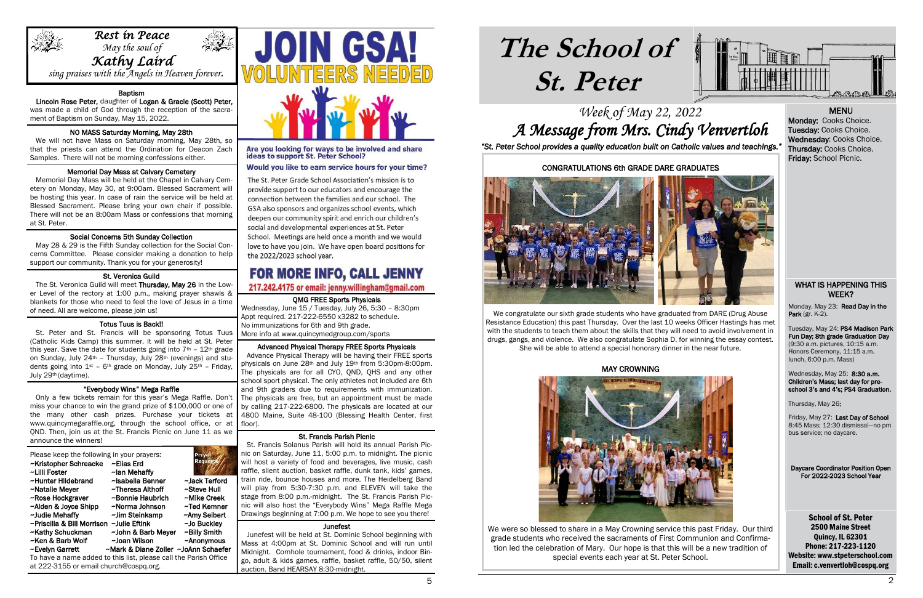

i

# **The School of St. Peter**

School of St. Peter 2500 Maine Street Quincy, IL 62301 Phone: 217-223-1120 Website: www.stpeterschool.com Email: c.venvertloh@cospq.org

# Week of May 22, 2022 A Message from Mrs. Cindy Venvertloh *"St. Peter School provides a quality education built on Catholic values and teachings."*

Monday, May 23: Read Day in the Park (gr. K-2).





Wednesday, May 25: 8:30 a.m. Children's Mass; last day for preschool 3's and 4's; PS4 Graduation.

### WHAT IS HAPPENING THIS WEEK?

Tuesday, May 24: PS4 Madison Park Fun Day; 8th grade Graduation Day (9:30 a.m. pictures, 10:15 a.m. Honors Ceremony, 11:15 a.m. lunch, 6:00 p.m. Mass)

Thursday, May 26:

Friday, May 27: Last Day of School 8:45 Mass; 12:30 dismissal—no pm bus service; no daycare.

Daycare Coordinator Position Open For 2022-2023 School Year

### QMG FREE Sports Physicals

Wednesday, June 15 / Tuesday, July 26, 5:30 – 8:30pm Appt required. 217-222-6550 x3282 to schedule. No immunizations for 6th and 9th grade. More info at www.quincymedgroup.com/sports

### Advanced Physical Therapy FREE Sports Physicals

### Ï NO MASS Saturday Morning, May 28th

 Advance Physical Therapy will be having their FREE sports physicals on June 28th and July 19th from 5:30pm-8:00pm. The physicals are for all CYO, QND, QHS and any other school sport physical. The only athletes not included are 6th and 9th graders due to requirements with immunization. The physicals are free, but an appointment must be made by calling 217-222-6800. The physicals are located at our 4800 Maine, Suite 48-100 (Blessing Health Center, first floor).

### ٦ Memorial Day Mass at Calvary Cemetery

### St. Francis Parish Picnic

### í Social Concerns 5th Sunday Collection

 May 28 & 29 is the Fifth Sunday collection for the Social Concerns Committee. Please consider making a donation to help support our community. Thank you for your generosity! l

The St. Veronica Guild will meet Thursday, May 26 in the Lower Level of the rectory at 1:00 p.m., making prayer shawls & blankets for those who need to feel the love of Jesus in a time of need. All are welcome, please join us!

### j Totus Tuus is Back!!

 St. Francis Solanus Parish will hold its annual Parish Picnic on Saturday, June 11, 5:00 p.m. to midnight. The picnic will host a variety of food and beverages, live music, cash raffle, silent auction, basket raffle, dunk tank, kids' games, rain ride, bounce houses and more. The Heidelberg Band will play from 5:30-7:30 p.m. and ELEVEN will take the stage from 8:00 p.m.-midnight. The St. Francis Parish Picnic will also host the "Everybody Wins" Mega Raffle Mega Drawings beginning at 7:00 p.m. We hope to see you there!

### Junefest

 Junefest will be held at St. Dominic School beginning with Mass at 4:00pm at St. Dominic School and will run until Midnight. Cornhole tournament, food & drinks, indoor Bingo, adult & kids games, raffle, basket raffle, 50/50, silent auction. Band HEARSAY 8:30-midnight.

### Baptism

 Lincoln Rose Peter, daughter of Logan & Gracie (Scott) Peter, was made a child of God through the reception of the sacrament of Baptism on Sunday, May 15, 2022.

 We will not have Mass on Saturday morning, May 28th, so that the priests can attend the Ordination for Deacon Zach Samples. There will not be morning confessions either.

 Memorial Day Mass will be held at the Chapel in Calvary Cemetery on Monday, May 30, at 9:00am. Blessed Sacrament will be hosting this year. In case of rain the service will be held at Blessed Sacrament. Please bring your own chair if possible. There will not be an 8:00am Mass or confessions that morning at St. Peter.

### St. Veronica Guild

 St. Peter and St. Francis will be sponsoring Totus Tuus (Catholic Kids Camp) this summer. It will be held at St. Peter this year. Save the date for students going into  $7<sup>th</sup>$  -  $12<sup>th</sup>$  grade on Sunday, July 24th – Thursday, July 28th (evenings) and students going into  $1^{st}$  – 6<sup>th</sup> grade on Monday, July 25<sup>th</sup> – Friday, July 29th (daytime).

### "Everybody Wins" Mega Raffle

 Only a few tickets remain for this year's Mega Raffle. Don't miss your chance to win the grand prize of \$100,000 or one of the many other cash prizes. Purchase your tickets at www.quincymegaraffle.org, through the school office, or at QND. Then, join us at the St. Francis Picnic on June 11 as we announce the winners!

| Please keep the following in your prayers:<br>~Elias Erd | Prayer<br><b>Requesta</b>        | n<br>W                                                                                                                                   |
|----------------------------------------------------------|----------------------------------|------------------------------------------------------------------------------------------------------------------------------------------|
|                                                          |                                  | r                                                                                                                                        |
|                                                          |                                  | tı                                                                                                                                       |
| ~Theresa Althoff                                         |                                  | W                                                                                                                                        |
| ~Bonnie Haubrich                                         | ~Mike Creek                      | S                                                                                                                                        |
| ~Norma Johnson                                           | ~Ted Kemner                      | n                                                                                                                                        |
| ~Jim Steinkamp                                           | ~Amy Seibert                     | D                                                                                                                                        |
| ~Priscilla & Bill Morrison ~Julie Eftink                 | ~Jo Buckley                      |                                                                                                                                          |
| ~John & Barb Meyer                                       | ~Billy Smith                     |                                                                                                                                          |
| ~Joan Wilson                                             | $~\sim$ Anonymous                | N                                                                                                                                        |
|                                                          |                                  | N                                                                                                                                        |
|                                                          |                                  | $\sigma$                                                                                                                                 |
|                                                          | ~lan Mehaffy<br>~Isabella Benner | ~Jack Terford<br>~Steve Hull<br>~Mark & Diane Zoller ~JoAnn Schaefer<br>To have a name added to this list, please call the Parish Office |

at 222-3155 or email church@cospq.org.

**JOIN GSA!** 

Are you looking for ways to be involved and share<br>ideas to support St. Peter School?

### Would you like to earn service hours for your time?

The St. Peter Grade School Association's mission is to provide support to our educators and encourage the connection between the families and our school. The GSA also sponsors and organizes school events, which deepen our community spirit and enrich our children's social and developmental experiences at St. Peter School. Meetings are held once a month and we would love to have you join. We have open board positions for the 2022/2023 school year.

# FOR MORE INFO, CALL JENNY

### 217.242.4175 or email: jenny.willingham@gmail.com

### MENU

Monday: Cooks Choice. Tuesday: Cooks Choice. Wednesday: Cooks Choice. Thursday: Cooks Choice. Friday: School Picnic.

### CONGRATULATIONS 6th GRADE DARE GRADUATES



We congratulate our sixth grade students who have graduated from DARE (Drug Abuse Resistance Education) this past Thursday. Over the last 10 weeks Officer Hastings has met with the students to teach them about the skills that they will need to avoid involvement in drugs, gangs, and violence. We also congratulate Sophia D. for winning the essay contest. She will be able to attend a special honorary dinner in the near future.

### MAY CROWNING



We were so blessed to share in a May Crowning service this past Friday. Our third grade students who received the sacraments of First Communion and Confirmation led the celebration of Mary. Our hope is that this will be a new tradition of special events each year at St. Peter School.



 $\frac{1}{2} \sum_{i=1}^{N} \frac{1}{2} \sum_{i=1}^{N} \frac{1}{2} \sum_{i=1}^{N} \frac{1}{2} \sum_{i=1}^{N} \frac{1}{2} \sum_{i=1}^{N} \frac{1}{2} \sum_{i=1}^{N} \frac{1}{2} \sum_{i=1}^{N} \frac{1}{2} \sum_{i=1}^{N} \frac{1}{2} \sum_{i=1}^{N} \frac{1}{2} \sum_{i=1}^{N} \frac{1}{2} \sum_{i=1}^{N} \frac{1}{2} \sum_{i=1}^{N} \frac{1}{2} \sum_{i=1}^{N$ 

sing praises with the Angels in Heaven forever.